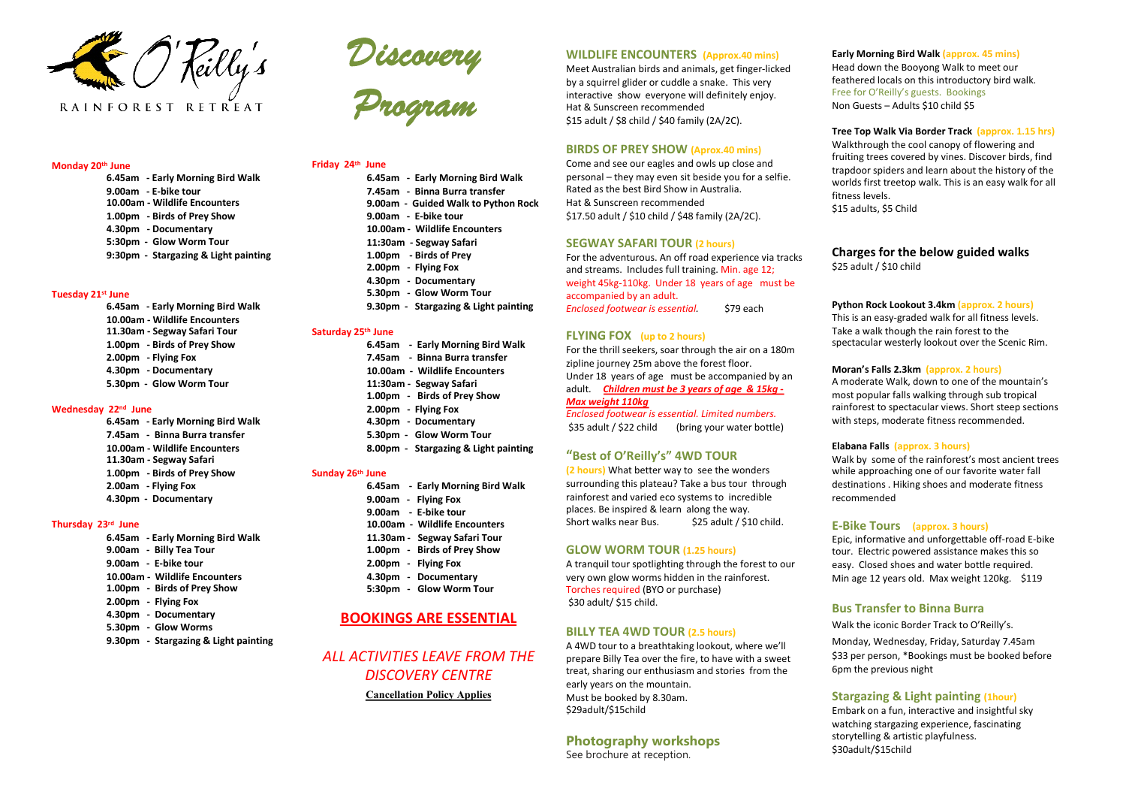

### **Monday 20th June**

**6.45am - Early Morning Bird Walk 9.00am - E-bike tour 10.00am - Wildlife Encounters 1.00pm - Birds of Prey Show 4.30pm - Documentary 5:30pm - Glow Worm Tour 9:30pm - Stargazing & Light painting**

#### **Tuesday 21st June**

**6.45am - Early Morning Bird Walk 10.00am - Wildlife Encounters 11.30am - Segway Safari Tour 1.00pm - Birds of Prey Show 2.00pm - Flying Fox 4.30pm - Documentary 5.30pm - Glow Worm Tour**

### **Wednesday 22nd June**

**6.45am - Early Morning Bird Walk 7.45am - Binna Burra transfer 10.00am - Wildlife Encounters 11.30am - Segway Safari 1.00pm - Birds of Prey Show 2.00am - Flying Fox 4.30pm - Documentary**

#### **Thursday 23rd June**

- **6.45am - Early Morning Bird Walk 9.00am - Billy Tea Tour 9.00am - E-bike tour 10.00am - Wildlife Encounters 1.00pm - Birds of Prey Show 2.00pm - Flying Fox 4.30pm - Documentary 5.30pm - Glow Worms**
- **9.30pm - Stargazing & Light painting**



### **Friday 24th June**

**6.45am - Early Morning Bird Walk 7.45am - Binna Burra transfer 9.00am - Guided Walk to Python Rock 9.00am - E-bike tour 10.00am - Wildlife Encounters 11:30am - Segway Safari 1.00pm - Birds of Prey 2.00pm - Flying Fox 4.30pm - Documentary 5.30pm - Glow Worm Tour 9.30pm - Stargazing & Light painting**

# **Saturday 25th June**

**6.45am - Early Morning Bird Walk 7.45am - Binna Burra transfer 10.00am - Wildlife Encounters 11:30am - Segway Safari 1.00pm - Birds of Prey Show 2.00pm - Flying Fox 4.30pm - Documentary 5.30pm - Glow Worm Tour 8.00pm - Stargazing & Light painting**

### **Sunday 26th June**

- **6.45am - Early Morning Bird Walk**
- **9.00am - Flying Fox**
- **9.00am - E-bike tour**
- **10.00am - Wildlife Encounters**
- **11.30am - Segway Safari Tour**
- **1.00pm - Birds of Prey Show**
- **2.00pm - Flying Fox**
- **4.30pm - Documentary**
- **5:30pm - Glow Worm Tour**

# **BOOKINGS ARE ESSENTIAL**

*ALL ACTIVITIES LEAVE FROM THE DISCOVERY CENTRE* **Cancellation Policy Applies** 

## **WILDLIFE ENCOUNTERS (Approx.40 mins)**

Meet Australian birds and animals, get finger-licked by a squirrel glider or cuddle a snake. This very interactive show everyone will definitely enjoy. Hat & Sunscreen recommended \$15 adult / \$8 child / \$40 family (2A/2C).

# **BIRDS OF PREY SHOW (Aprox.40 mins)**

Come and see our eagles and owls up close and personal – they may even sit beside you for a selfie. Rated as the best Bird Show in Australia. Hat & Sunscreen recommended \$17.50 adult / \$10 child / \$48 family (2A/2C).

### **SEGWAY SAFARI TOUR (2 hours)**

For the adventurous. An off road experience via tracks and streams. Includes full training. Min. age 12; weight 45kg-110kg. Under 18 years of age must be accompanied by an adult. *Enclosed footwear is essential.* \$79 each

## **FLYING FOX (up to 2 hours)**

For the thrill seekers, soar through the air on a 180m zipline journey 25m above the forest floor. Under 18 years of age must be accompanied by an adult. *Children must be 3 years of age & 15kg - Max weight 110kg*

*Enclosed footwear is essential. Limited numbers.* \$35 adult / \$22 child (bring your water bottle)

## **"Best of O'Reilly's" 4WD TOUR**

**(2 hours)** What better way to see the wonders surrounding this plateau? Take a bus tour through rainforest and varied eco systems to incredible places. Be inspired & learn along the way. Short walks near Bus. \$25 adult / \$10 child.

## **GLOW WORM TOUR (1.25 hours)**

A tranquil tour spotlighting through the forest to our very own glow worms hidden in the rainforest. Torches required (BYO or purchase) \$30 adult/ \$15 child.

# **BILLY TEA 4WD TOUR (2.5 hours)**

A 4WD tour to a breathtaking lookout, where we'll prepare Billy Tea over the fire, to have with a sweet treat, sharing our enthusiasm and stories from the early years on the mountain. Must be booked by 8.30am. \$29adult/\$15child

# **Photography workshops**

See brochure at reception.

### **Early Morning Bird Walk (approx. 45 mins)** Head down the Booyong Walk to meet our feathered locals on this introductory bird walk. Free for O'Reilly's guests. Bookings Non Guests – Adults \$10 child \$5

### **Tree Top Walk Via Border Track (approx. 1.15 hrs)**

Walkthrough the cool canopy of flowering and fruiting trees covered by vines. Discover birds, find trapdoor spiders and learn about the history of the worlds first treetop walk. This is an easy walk for all fitness levels. \$15 adults, \$5 Child

**Charges for the below guided walks** \$25 adult / \$10 child

#### **Python Rock Lookout 3.4km (approx. 2 hours)**

This is an easy-graded walk for all fitness levels. Take a walk though the rain forest to the spectacular westerly lookout over the Scenic Rim.

#### **Moran's Falls 2.3km (approx. 2 hours)**

A moderate Walk, down to one of the mountain's most popular falls walking through sub tropical rainforest to spectacular views. Short steep sections with steps, moderate fitness recommended.

#### **Elabana Falls (approx. 3 hours)**

Walk by some of the rainforest's most ancient trees while approaching one of our favorite water fall destinations . Hiking shoes and moderate fitness recommended

#### **E-Bike Tours (approx. 3 hours)**

Epic, informative and unforgettable off-road E-bike tour. Electric powered assistance makes this so easy. Closed shoes and water bottle required. Min age 12 years old. Max weight 120kg. \$119

## **Bus Transfer to Binna Burra**

Walk the iconic Border Track to O'Reilly's. Monday, Wednesday, Friday, Saturday 7.45am \$33 per person, \*Bookings must be booked before 6pm the previous night

## **Stargazing & Light painting (1hour)**

Embark on a fun, interactive and insightful sky watching stargazing experience, fascinating storytelling & artistic playfulness. \$30adult/\$15child